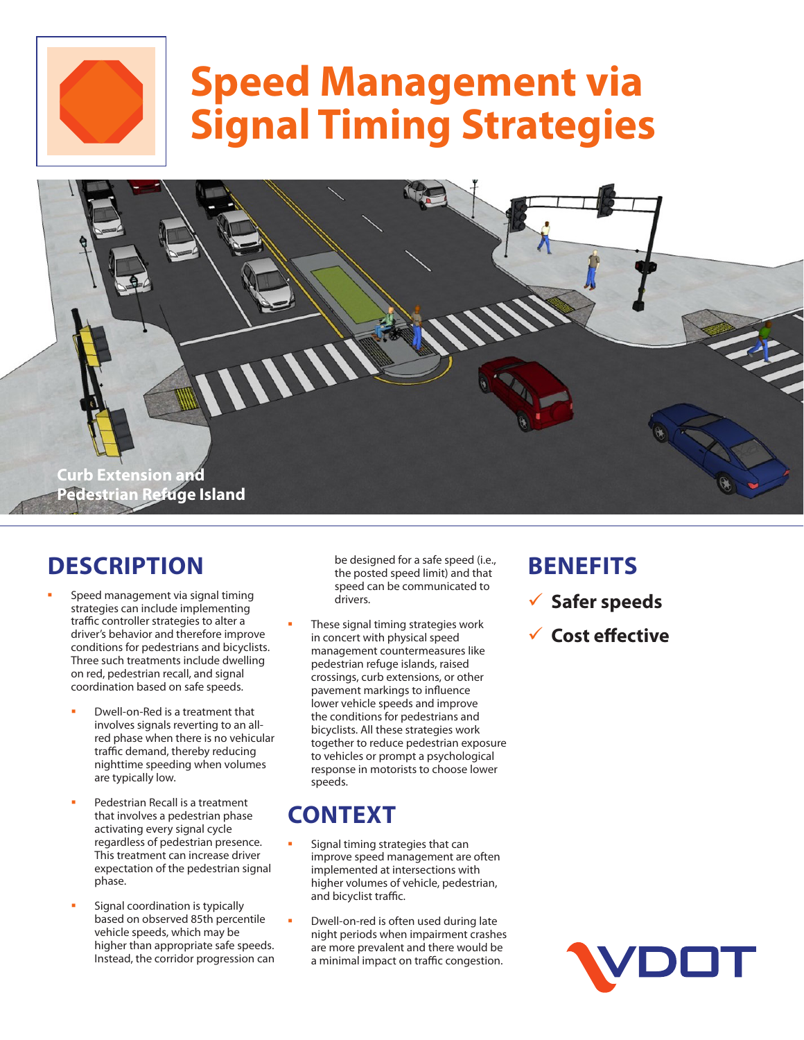

# **Speed Management via Signal Timing Strategies**



### **DESCRIPTION**

- Speed management via signal timing strategies can include implementing traffic controller strategies to alter a driver's behavior and therefore improve conditions for pedestrians and bicyclists. Three such treatments include dwelling on red, pedestrian recall, and signal coordination based on safe speeds.
	- Dwell-on-Red is a treatment that involves signals reverting to an allred phase when there is no vehicular traffic demand, thereby reducing nighttime speeding when volumes are typically low.
	- Pedestrian Recall is a treatment that involves a pedestrian phase activating every signal cycle regardless of pedestrian presence. This treatment can increase driver expectation of the pedestrian signal phase.
	- Signal coordination is typically based on observed 85th percentile vehicle speeds, which may be higher than appropriate safe speeds. Instead, the corridor progression can

be designed for a safe speed (i.e., the posted speed limit) and that speed can be communicated to drivers.

 These signal timing strategies work in concert with physical speed management countermeasures like pedestrian refuge islands, raised crossings, curb extensions, or other pavement markings to influence lower vehicle speeds and improve the conditions for pedestrians and bicyclists. All these strategies work together to reduce pedestrian exposure to vehicles or prompt a psychological response in motorists to choose lower speeds.

# **CONTEXT**

- Signal timing strategies that can improve speed management are often implemented at intersections with higher volumes of vehicle, pedestrian, and bicyclist traffic.
- Dwell-on-red is often used during late night periods when impairment crashes are more prevalent and there would be a minimal impact on traffic congestion.

#### **BENEFITS**

- 9 **Safer speeds**
- 9 **Cost effective**